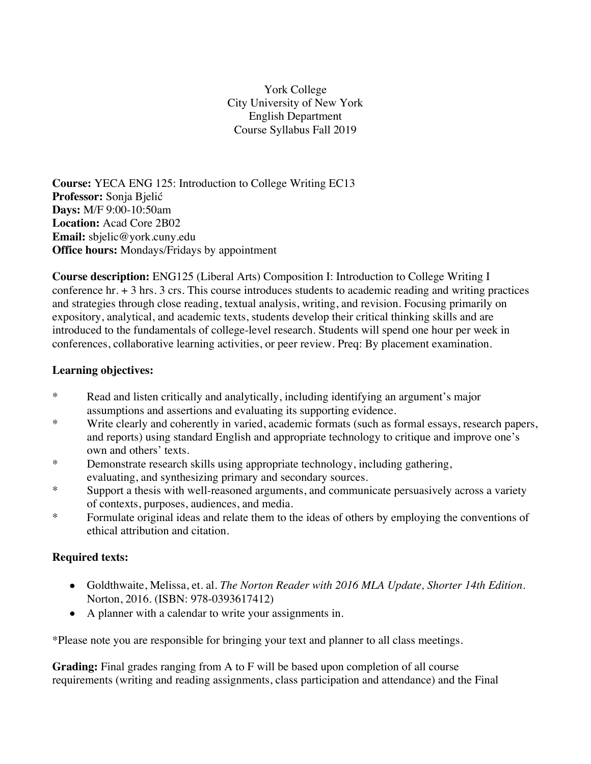York College City University of New York English Department Course Syllabus Fall 2019

**Course:** YECA ENG 125: Introduction to College Writing EC13 **Professor:** Sonja Bjelić **Days:** M/F 9:00-10:50am **Location:** Acad Core 2B02 **Email:** sbjelic@york.cuny.edu **Office hours:** Mondays/Fridays by appointment

**Course description:** ENG125 (Liberal Arts) Composition I: Introduction to College Writing I conference hr. + 3 hrs. 3 crs. This course introduces students to academic reading and writing practices and strategies through close reading, textual analysis, writing, and revision. Focusing primarily on expository, analytical, and academic texts, students develop their critical thinking skills and are introduced to the fundamentals of college-level research. Students will spend one hour per week in conferences, collaborative learning activities, or peer review. Preq: By placement examination.

#### **Learning objectives:**

- \* Read and listen critically and analytically, including identifying an argument's major assumptions and assertions and evaluating its supporting evidence.
- \* Write clearly and coherently in varied, academic formats (such as formal essays, research papers, and reports) using standard English and appropriate technology to critique and improve one's own and others' texts.
- \* Demonstrate research skills using appropriate technology, including gathering, evaluating, and synthesizing primary and secondary sources.
- \* Support a thesis with well-reasoned arguments, and communicate persuasively across a variety of contexts, purposes, audiences, and media.
- \* Formulate original ideas and relate them to the ideas of others by employing the conventions of ethical attribution and citation.

#### **Required texts:**

- Goldthwaite, Melissa, et. al. *The Norton Reader with 2016 MLA Update, Shorter 14th Edition*. Norton, 2016. (ISBN: 978-0393617412)
- A planner with a calendar to write your assignments in.

\*Please note you are responsible for bringing your text and planner to all class meetings.

**Grading:** Final grades ranging from A to F will be based upon completion of all course requirements (writing and reading assignments, class participation and attendance) and the Final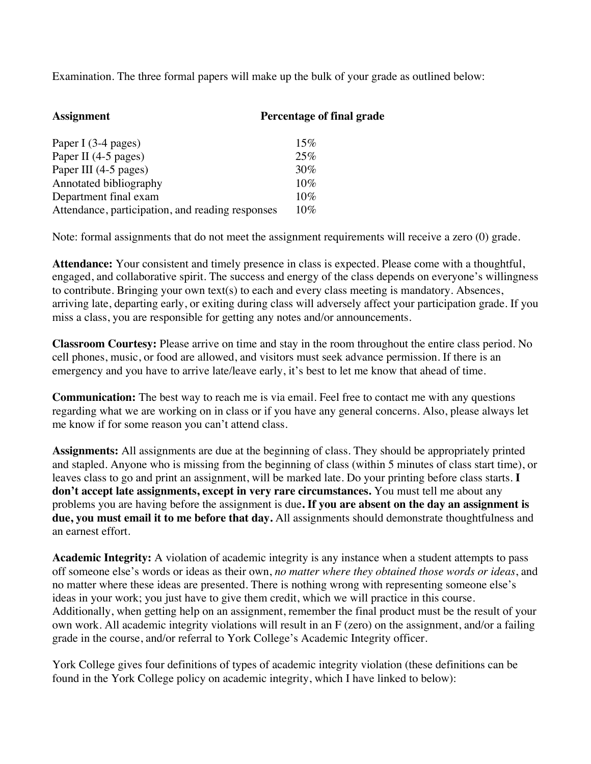Examination. The three formal papers will make up the bulk of your grade as outlined below:

| <b>Assignment</b>                                | Percentage of final grade |
|--------------------------------------------------|---------------------------|
| Paper I (3-4 pages)                              | 15%                       |
| Paper II (4-5 pages)                             | 25%                       |
| Paper III (4-5 pages)                            | 30%                       |
| Annotated bibliography                           | 10%                       |
| Department final exam                            | 10%                       |
| Attendance, participation, and reading responses | 10%                       |

Note: formal assignments that do not meet the assignment requirements will receive a zero (0) grade.

**Attendance:** Your consistent and timely presence in class is expected. Please come with a thoughtful, engaged, and collaborative spirit. The success and energy of the class depends on everyone's willingness to contribute. Bringing your own text(s) to each and every class meeting is mandatory. Absences, arriving late, departing early, or exiting during class will adversely affect your participation grade. If you miss a class, you are responsible for getting any notes and/or announcements.

**Classroom Courtesy:** Please arrive on time and stay in the room throughout the entire class period. No cell phones, music, or food are allowed, and visitors must seek advance permission. If there is an emergency and you have to arrive late/leave early, it's best to let me know that ahead of time.

**Communication:** The best way to reach me is via email. Feel free to contact me with any questions regarding what we are working on in class or if you have any general concerns. Also, please always let me know if for some reason you can't attend class.

**Assignments:** All assignments are due at the beginning of class. They should be appropriately printed and stapled. Anyone who is missing from the beginning of class (within 5 minutes of class start time), or leaves class to go and print an assignment, will be marked late. Do your printing before class starts. **I don't accept late assignments, except in very rare circumstances.** You must tell me about any problems you are having before the assignment is due**. If you are absent on the day an assignment is due, you must email it to me before that day.** All assignments should demonstrate thoughtfulness and an earnest effort.

**Academic Integrity:** A violation of academic integrity is any instance when a student attempts to pass off someone else's words or ideas as their own, *no matter where they obtained those words or ideas*, and no matter where these ideas are presented. There is nothing wrong with representing someone else's ideas in your work; you just have to give them credit, which we will practice in this course. Additionally, when getting help on an assignment, remember the final product must be the result of your own work. All academic integrity violations will result in an F (zero) on the assignment, and/or a failing grade in the course, and/or referral to York College's Academic Integrity officer.

York College gives four definitions of types of academic integrity violation (these definitions can be found in the York College policy on academic integrity, which I have linked to below):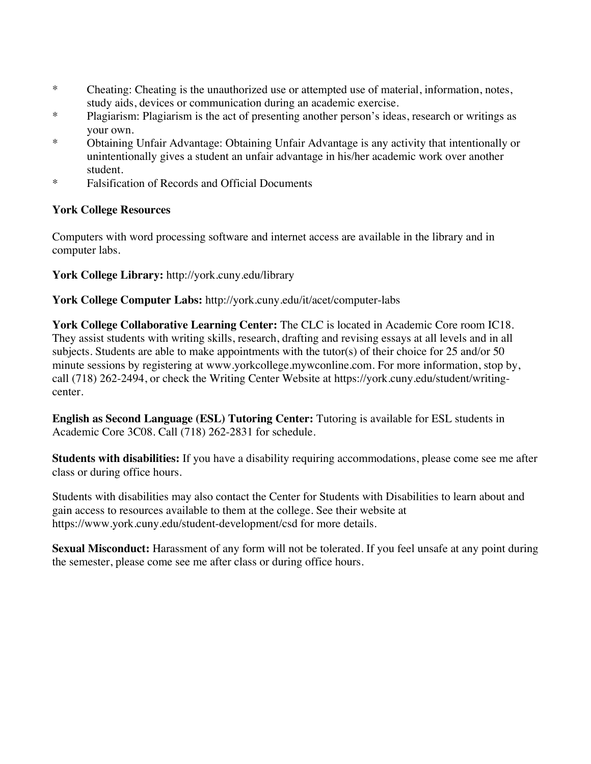- \* Cheating: Cheating is the unauthorized use or attempted use of material, information, notes, study aids, devices or communication during an academic exercise.
- \* Plagiarism: Plagiarism is the act of presenting another person's ideas, research or writings as your own.
- \* Obtaining Unfair Advantage: Obtaining Unfair Advantage is any activity that intentionally or unintentionally gives a student an unfair advantage in his/her academic work over another student.
- \* Falsification of Records and Official Documents

# **York College Resources**

Computers with word processing software and internet access are available in the library and in computer labs.

**York College Library:** http://york.cuny.edu/library

**York College Computer Labs:** http://york.cuny.edu/it/acet/computer-labs

**York College Collaborative Learning Center:** The CLC is located in Academic Core room IC18. They assist students with writing skills, research, drafting and revising essays at all levels and in all subjects. Students are able to make appointments with the tutor(s) of their choice for 25 and/or 50 minute sessions by registering at www.yorkcollege.mywconline.com. For more information, stop by, call (718) 262-2494, or check the Writing Center Website at https://york.cuny.edu/student/writingcenter.

**English as Second Language (ESL) Tutoring Center:** Tutoring is available for ESL students in Academic Core 3C08. Call (718) 262-2831 for schedule.

**Students with disabilities:** If you have a disability requiring accommodations, please come see me after class or during office hours.

Students with disabilities may also contact the Center for Students with Disabilities to learn about and gain access to resources available to them at the college. See their website at https://www.york.cuny.edu/student-development/csd for more details.

**Sexual Misconduct:** Harassment of any form will not be tolerated. If you feel unsafe at any point during the semester, please come see me after class or during office hours.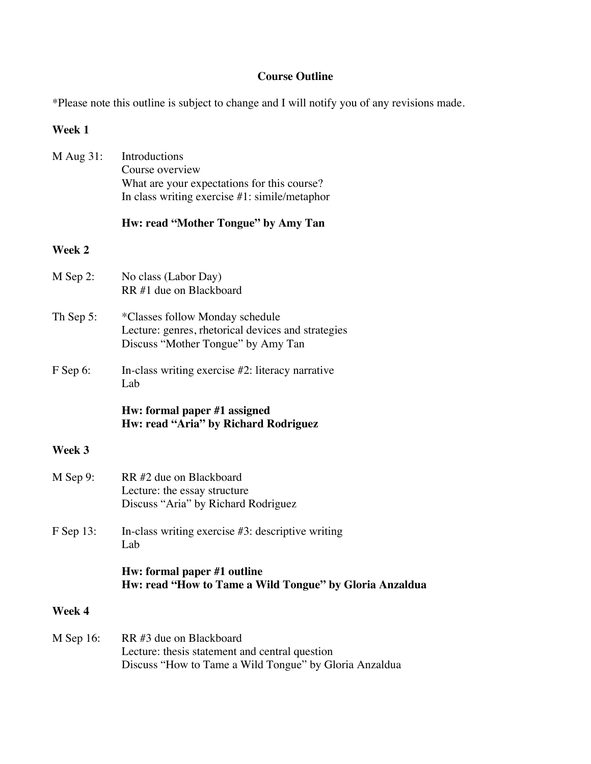# **Course Outline**

\*Please note this outline is subject to change and I will notify you of any revisions made.

# **Week 1**

| M Aug 31:     | Introductions<br>Course overview<br>What are your expectations for this course?<br>In class writing exercise $#1$ : simile/metaphor |
|---------------|-------------------------------------------------------------------------------------------------------------------------------------|
|               | Hw: read "Mother Tongue" by Amy Tan                                                                                                 |
| <b>Week 2</b> |                                                                                                                                     |
| M Sep 2:      | No class (Labor Day)<br>RR #1 due on Blackboard                                                                                     |
| Th Sep 5:     | *Classes follow Monday schedule<br>Lecture: genres, rhetorical devices and strategies<br>Discuss "Mother Tongue" by Amy Tan         |
| F Sep 6:      | In-class writing exercise #2: literacy narrative<br>Lab                                                                             |
|               | Hw: formal paper #1 assigned<br>Hw: read "Aria" by Richard Rodriguez                                                                |
| Week 3        |                                                                                                                                     |
| M Sep 9:      | RR #2 due on Blackboard<br>Lecture: the essay structure<br>Discuss "Aria" by Richard Rodriguez                                      |
| F Sep 13:     | In-class writing exercise $#3$ : descriptive writing<br>Lab                                                                         |
|               | Hw: formal paper #1 outline<br>Hw: read "How to Tame a Wild Tongue" by Gloria Anzaldua                                              |
| Week 4        |                                                                                                                                     |
| M Sep 16:     | RR #3 due on Blackboard<br>Lecture: thesis statement and central question<br>Discuss "How to Tame a Wild Tongue" by Gloria Anzaldua |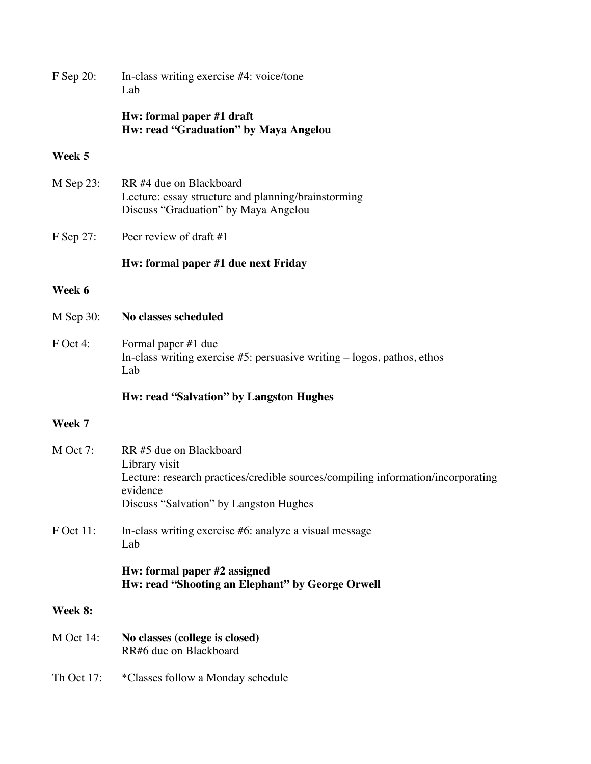| F Sep 20:        | In-class writing exercise #4: voice/tone<br>Lab                                                                                                                                    |
|------------------|------------------------------------------------------------------------------------------------------------------------------------------------------------------------------------|
|                  | Hw: formal paper #1 draft<br>Hw: read "Graduation" by Maya Angelou                                                                                                                 |
| Week 5           |                                                                                                                                                                                    |
| $M$ Sep 23:      | RR #4 due on Blackboard<br>Lecture: essay structure and planning/brainstorming<br>Discuss "Graduation" by Maya Angelou                                                             |
| F Sep 27:        | Peer review of draft #1                                                                                                                                                            |
|                  | Hw: formal paper #1 due next Friday                                                                                                                                                |
| Week 6           |                                                                                                                                                                                    |
| M Sep 30:        | No classes scheduled                                                                                                                                                               |
| F Oct 4:         | Formal paper #1 due<br>In-class writing exercise $#5$ : persuasive writing $-$ logos, pathos, ethos<br>Lab                                                                         |
|                  | Hw: read "Salvation" by Langston Hughes                                                                                                                                            |
| Week 7           |                                                                                                                                                                                    |
| $M$ Oct 7:       | RR #5 due on Blackboard<br>Library visit<br>Lecture: research practices/credible sources/compiling information/incorporating<br>evidence<br>Discuss "Salvation" by Langston Hughes |
| F Oct 11:        | In-class writing exercise #6: analyze a visual message<br>Lab                                                                                                                      |
|                  | Hw: formal paper #2 assigned<br>Hw: read "Shooting an Elephant" by George Orwell                                                                                                   |
| Week 8:          |                                                                                                                                                                                    |
| <b>M</b> Oct 14: | No classes (college is closed)<br>RR#6 due on Blackboard                                                                                                                           |

Th Oct 17: \*Classes follow a Monday schedule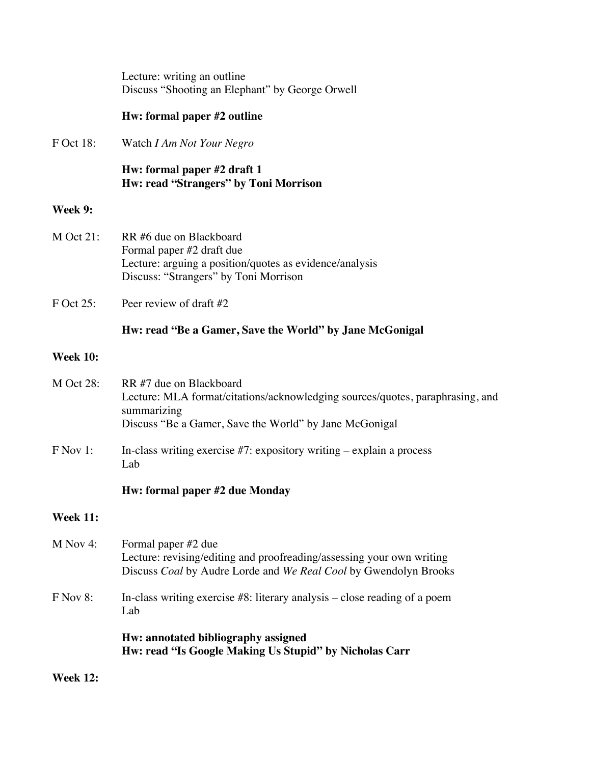Lecture: writing an outline Discuss "Shooting an Elephant" by George Orwell

### **Hw: formal paper #2 outline**

F Oct 18: Watch *I Am Not Your Negro*

**Hw: formal paper #2 draft 1 Hw: read "Strangers" by Toni Morrison** 

#### **Week 9:**

- M Oct 21: RR #6 due on Blackboard Formal paper #2 draft due Lecture: arguing a position/quotes as evidence/analysis Discuss: "Strangers" by Toni Morrison
- F Oct 25: Peer review of draft #2

## **Hw: read "Be a Gamer, Save the World" by Jane McGonigal**

### **Week 10:**

| <b>M</b> Oct 28: | RR #7 due on Blackboard<br>Lecture: MLA format/citations/acknowledging sources/quotes, paraphrasing, and<br>summarizing<br>Discuss "Be a Gamer, Save the World" by Jane McGonigal |
|------------------|-----------------------------------------------------------------------------------------------------------------------------------------------------------------------------------|
| F Nov 1:         | In-class writing exercise $#7$ : expository writing $-$ explain a process<br>Lab                                                                                                  |
|                  | Hw: formal paper #2 due Monday                                                                                                                                                    |
| <b>Week 11:</b>  |                                                                                                                                                                                   |
| $M$ Nov 4:       | Formal paper #2 due<br>Lecture: revising/editing and proofreading/assessing your own writing<br>Discuss Coal by Audre Lorde and We Real Cool by Gwendolyn Brooks                  |
| F Nov 8:         | In-class writing exercise $#8$ : literary analysis – close reading of a poem<br>Lab                                                                                               |
|                  | Hw: annotated bibliography assigned<br>Hw: read "Is Google Making Us Stupid" by Nicholas Carr                                                                                     |

**Week 12:**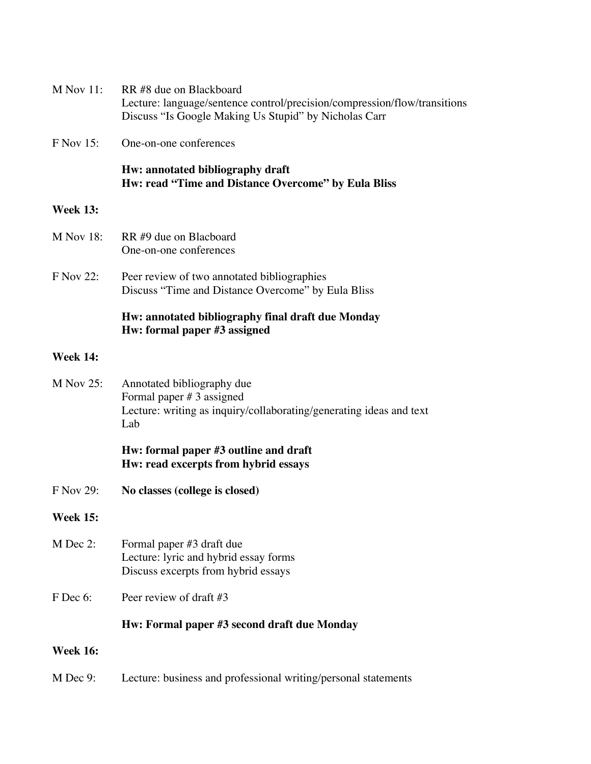| $M$ Nov 11:      | RR #8 due on Blackboard<br>Lecture: language/sentence control/precision/compression/flow/transitions<br>Discuss "Is Google Making Us Stupid" by Nicholas Carr |
|------------------|---------------------------------------------------------------------------------------------------------------------------------------------------------------|
| <b>F</b> Nov 15: | One-on-one conferences                                                                                                                                        |
|                  | Hw: annotated bibliography draft<br>Hw: read "Time and Distance Overcome" by Eula Bliss                                                                       |
| <b>Week 13:</b>  |                                                                                                                                                               |
| <b>M</b> Nov 18: | RR#9 due on Blacboard<br>One-on-one conferences                                                                                                               |
| <b>F</b> Nov 22: | Peer review of two annotated bibliographies<br>Discuss "Time and Distance Overcome" by Eula Bliss                                                             |
|                  | Hw: annotated bibliography final draft due Monday<br>Hw: formal paper #3 assigned                                                                             |
| <b>Week 14:</b>  |                                                                                                                                                               |
| $M$ Nov 25:      | Annotated bibliography due<br>Formal paper $# 3$ assigned<br>Lecture: writing as inquiry/collaborating/generating ideas and text<br>Lab                       |
|                  | Hw: formal paper #3 outline and draft<br>Hw: read excerpts from hybrid essays                                                                                 |
| F Nov 29:        | No classes (college is closed)                                                                                                                                |
| <b>Week 15:</b>  |                                                                                                                                                               |
| M Dec 2:         | Formal paper #3 draft due<br>Lecture: lyric and hybrid essay forms<br>Discuss excerpts from hybrid essays                                                     |
| F Dec 6:         | Peer review of draft $#3$                                                                                                                                     |
|                  | Hw: Formal paper #3 second draft due Monday                                                                                                                   |
| <b>Week 16:</b>  |                                                                                                                                                               |
| M Dec 9:         | Lecture: business and professional writing/personal statements                                                                                                |